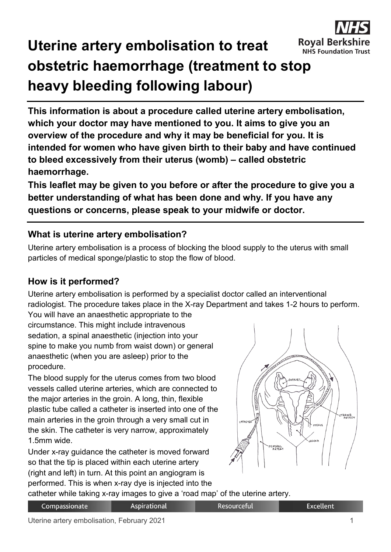

# **Uterine artery embolisation to treat obstetric haemorrhage (treatment to stop heavy bleeding following labour)**

**This information is about a procedure called uterine artery embolisation, which your doctor may have mentioned to you. It aims to give you an overview of the procedure and why it may be beneficial for you. It is intended for women who have given birth to their baby and have continued to bleed excessively from their uterus (womb) – called obstetric haemorrhage.**

**This leaflet may be given to you before or after the procedure to give you a better understanding of what has been done and why. If you have any questions or concerns, please speak to your midwife or doctor.**

### **What is uterine artery embolisation?**

Uterine artery embolisation is a process of blocking the blood supply to the uterus with small particles of medical sponge/plastic to stop the flow of blood.

## **How is it performed?**

Uterine artery embolisation is performed by a specialist doctor called an interventional radiologist. The procedure takes place in the X-ray Department and takes 1-2 hours to perform. You will have an anaesthetic appropriate to the

circumstance. This might include intravenous sedation, a spinal anaesthetic (injection into your spine to make you numb from waist down) or general anaesthetic (when you are asleep) prior to the procedure.

The blood supply for the uterus comes from two blood vessels called uterine arteries, which are connected to the major arteries in the groin. A long, thin, flexible plastic tube called a catheter is inserted into one of the main arteries in the groin through a very small cut in the skin. The catheter is very narrow, approximately 1.5mm wide.

Under x-ray guidance the catheter is moved forward so that the tip is placed within each uterine artery (right and left) in turn. At this point an angiogram is performed. This is when x-ray dye is injected into the



catheter while taking x-ray images to give a 'road map' of the uterine artery.

**Aspirational** 

**Excellent**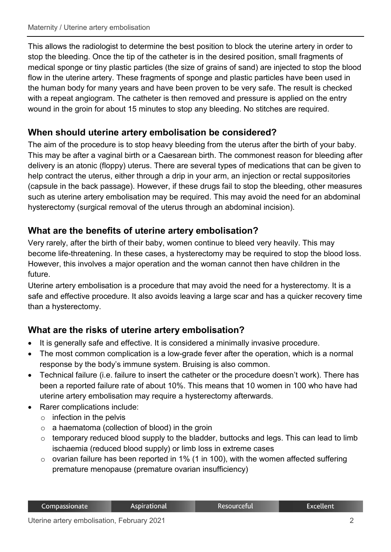This allows the radiologist to determine the best position to block the uterine artery in order to stop the bleeding. Once the tip of the catheter is in the desired position, small fragments of medical sponge or tiny plastic particles (the size of grains of sand) are injected to stop the blood flow in the uterine artery. These fragments of sponge and plastic particles have been used in the human body for many years and have been proven to be very safe. The result is checked with a repeat angiogram. The catheter is then removed and pressure is applied on the entry wound in the groin for about 15 minutes to stop any bleeding. No stitches are required.

### **When should uterine artery embolisation be considered?**

The aim of the procedure is to stop heavy bleeding from the uterus after the birth of your baby. This may be after a vaginal birth or a Caesarean birth. The commonest reason for bleeding after delivery is an atonic (floppy) uterus. There are several types of medications that can be given to help contract the uterus, either through a drip in your arm, an injection or rectal suppositories (capsule in the back passage). However, if these drugs fail to stop the bleeding, other measures such as uterine artery embolisation may be required. This may avoid the need for an abdominal hysterectomy (surgical removal of the uterus through an abdominal incision).

### **What are the benefits of uterine artery embolisation?**

Very rarely, after the birth of their baby, women continue to bleed very heavily. This may become life-threatening. In these cases, a hysterectomy may be required to stop the blood loss. However, this involves a major operation and the woman cannot then have children in the future.

Uterine artery embolisation is a procedure that may avoid the need for a hysterectomy*.* It is a safe and effective procedure. It also avoids leaving a large scar and has a quicker recovery time than a hysterectomy.

### **What are the risks of uterine artery embolisation?**

- It is generally safe and effective. It is considered a minimally invasive procedure.
- The most common complication is a low-grade fever after the operation, which is a normal response by the body's immune system. Bruising is also common.
- Technical failure (i.e. failure to insert the catheter or the procedure doesn't work). There has been a reported failure rate of about 10%. This means that 10 women in 100 who have had uterine artery embolisation may require a hysterectomy afterwards.
- Rarer complications include:
	- $\circ$  infection in the pelvis
	- $\circ$  a haematoma (collection of blood) in the groin
	- o temporary reduced blood supply to the bladder, buttocks and legs. This can lead to limb ischaemia (reduced blood supply) or limb loss in extreme cases
	- $\circ$  ovarian failure has been reported in 1% (1 in 100), with the women affected suffering premature menopause (premature ovarian insufficiency)